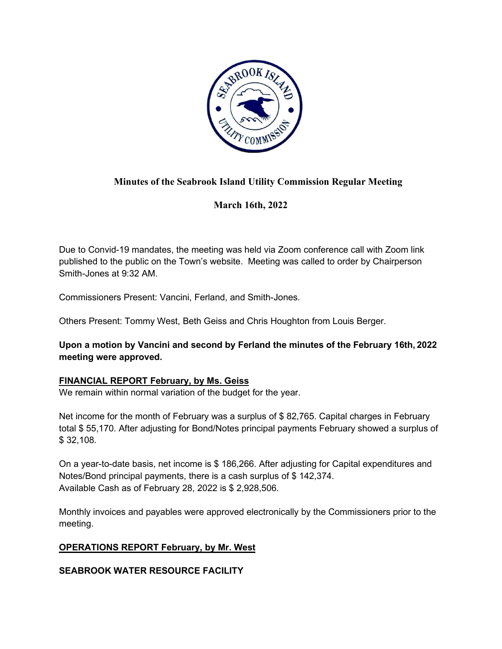

# **Minutes of the Seabrook Island Utility Commission Regular Meeting**

**March 16th, 2022**

Due to Convid-19 mandates, the meeting was held via Zoom conference call with Zoom link published to the public on the Town's website. Meeting was called to order by Chairperson Smith-Jones at 9:32 AM.

Commissioners Present: Vancini, Ferland, and Smith-Jones.

Others Present: Tommy West, Beth Geiss and Chris Houghton from Louis Berger.

**Upon a motion by Vancini and second by Ferland the minutes of the February 16th, 2022 meeting were approved.**

### **FINANCIAL REPORT February, by Ms. Geiss**

We remain within normal variation of the budget for the year.

Net income for the month of February was a surplus of \$ 82,765. Capital charges in February total \$ 55,170. After adjusting for Bond/Notes principal payments February showed a surplus of \$ 32,108.

On a year-to-date basis, net income is \$ 186,266. After adjusting for Capital expenditures and Notes/Bond principal payments, there is a cash surplus of \$ 142,374. Available Cash as of February 28, 2022 is \$ 2,928,506.

Monthly invoices and payables were approved electronically by the Commissioners prior to the meeting.

# **OPERATIONS REPORT February, by Mr. West**

### **SEABROOK WATER RESOURCE FACILITY**